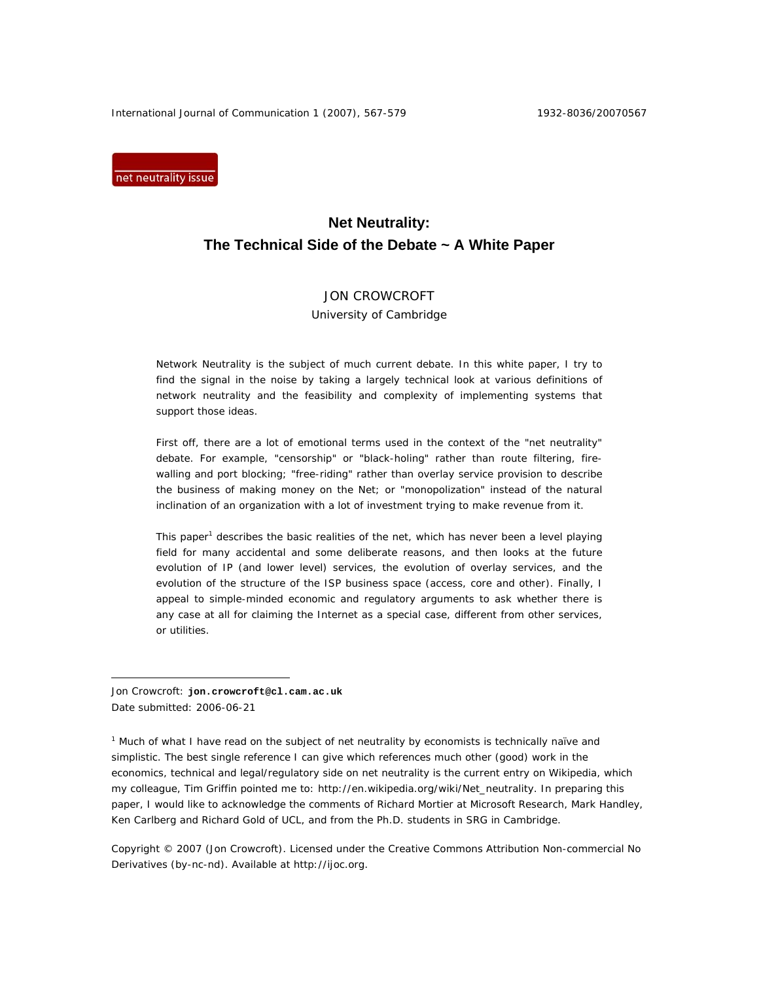International Journal of Communication 1 (2007), 567-579 1932-8036/20070567

net neutrality issue

# **Net Neutrality: The Technical Side of the Debate ~ A White Paper**

# JON CROWCROFT

University of Cambridge

Network Neutrality is the subject of much current debate. In this white paper, I try to find the signal in the noise by taking a largely technical look at various definitions of network neutrality and the feasibility and complexity of implementing systems that support those ideas.

First off, there are a lot of emotional terms used in the context of the "net neutrality" debate. For example, "censorship" or "black-holing" rather than route filtering, firewalling and port blocking; "free-riding" rather than overlay service provision to describe the business of making money on the Net; or "monopolization" instead of the natural inclination of an organization with a lot of investment trying to make revenue from it.

This paper<sup>1</sup> describes the basic realities of the net, which has never been a level playing field for many accidental and some deliberate reasons, and then looks at the future evolution of IP (and lower level) services, the evolution of overlay services, and the evolution of the structure of the ISP business space (access, core and other). Finally, I appeal to simple-minded economic and regulatory arguments to ask whether there is any case at all for claiming the Internet as a special case, different from other services, or utilities.

Jon Crowcroft: **jon.crowcroft@cl.cam.ac.uk** Date submitted: 2006-06-21

 $\overline{a}$ 

<sup>1</sup> Much of what I have read on the subject of net neutrality by economists is technically naïve and simplistic. The best single reference I can give which references much other (good) work in the economics, technical and legal/regulatory side on net neutrality is the current entry on Wikipedia, which my colleague, Tim Griffin pointed me to: http://en.wikipedia.org/wiki/Net\_neutrality. In preparing this paper, I would like to acknowledge the comments of Richard Mortier at Microsoft Research, Mark Handley, Ken Carlberg and Richard Gold of UCL, and from the Ph.D. students in SRG in Cambridge.

Copyright © 2007 (Jon Crowcroft). Licensed under the Creative Commons Attribution Non-commercial No Derivatives (by-nc-nd). Available at http://ijoc.org.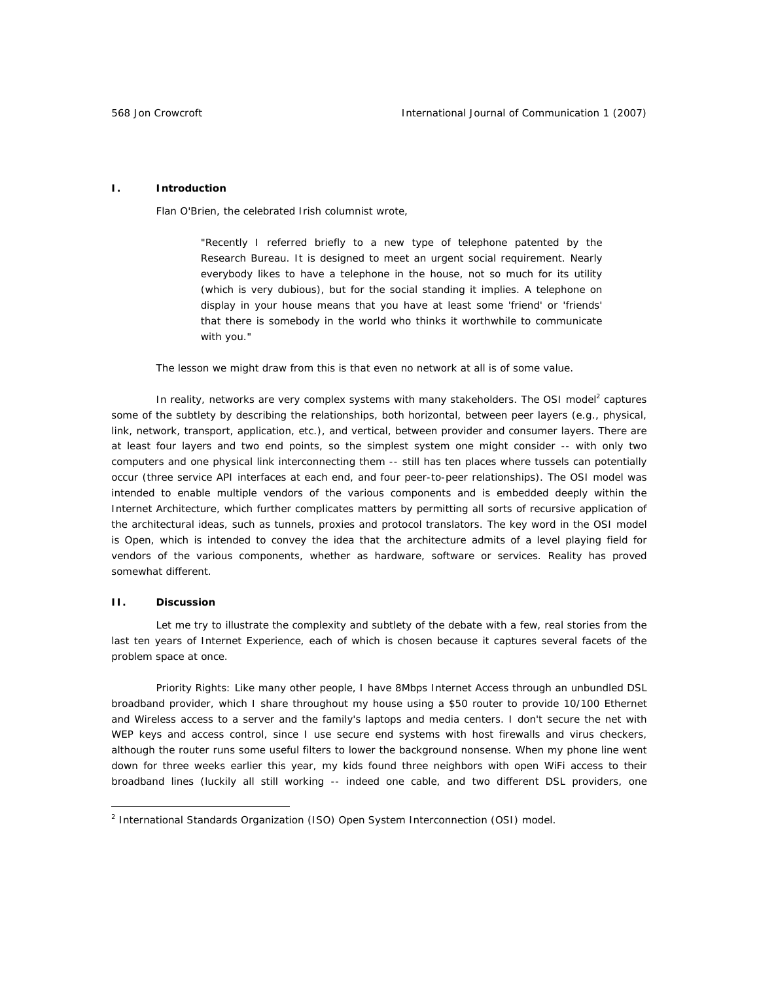### **I. Introduction**

Flan O'Brien, the celebrated Irish columnist wrote,

"Recently I referred briefly to a new type of telephone patented by the Research Bureau. It is designed to meet an urgent social requirement. Nearly everybody likes to have a telephone in the house, not so much for its utility (which is very dubious), but for the social standing it implies. A telephone on display in your house means that you have at least some 'friend' or 'friends' that there is somebody in the world who thinks it worthwhile to communicate with you."

The lesson we might draw from this is that even *no network at all* is of some value.

In reality, networks are very complex systems with many stakeholders. The OSI model<sup>2</sup> captures some of the subtlety by describing the relationships, both horizontal, between *peer* layers (e.g., physical, link, network, transport, application, etc.), and vertical, between *provider* and *consumer* layers. There are at least four layers and two end points, so the simplest system one might consider -- with only two computers and one physical link interconnecting them -- still has ten places where tussels can potentially occur (three service API interfaces at each end, and four peer-to-peer relationships). The OSI model was intended to enable multiple vendors of the various components and is embedded deeply within the Internet Architecture, which further complicates matters by permitting all sorts of recursive application of the architectural ideas, such as tunnels, proxies and protocol translators. The key word in the OSI model is *Open*, which is intended to convey the idea that the architecture admits of a level playing field for vendors of the various components, whether as hardware, software or services. Reality has proved somewhat different.

### **II. Discussion**

 $\overline{a}$ 

Let me try to illustrate the complexity and subtlety of the debate with a few, real stories from the last ten years of Internet Experience, each of which is chosen because it captures several facets of the problem space at once.

*Priority Rights*: Like many other people, I have 8Mbps Internet Access through an unbundled DSL broadband provider, which I share throughout my house using a \$50 router to provide 10/100 Ethernet and Wireless access to a server and the family's laptops and media centers. I don't secure the net with WEP keys and access control, since I use secure end systems with host firewalls and virus checkers, although the router runs some useful filters to lower the background nonsense. When my phone line went down for three weeks earlier this year, my kids found three neighbors with open WiFi access to their broadband lines (luckily all still working -- indeed one cable, and two different DSL providers, one

<sup>&</sup>lt;sup>2</sup> International Standards Organization (ISO) Open System Interconnection (OSI) model.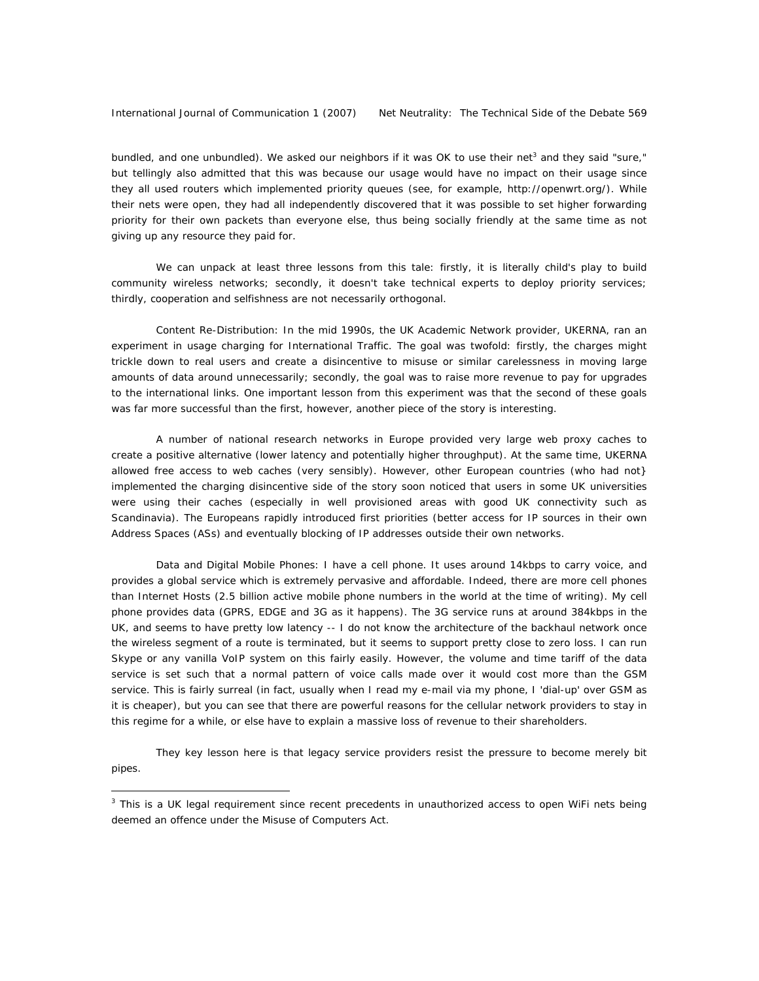bundled, and one unbundled). We asked our neighbors if it was OK to use their net<sup>3</sup> and they said "sure," but tellingly also admitted that this was because our usage would have no impact on their usage since they all used routers which implemented priority queues (see, for example, http://openwrt.org/). While their nets were open, they had all independently discovered that it was possible to set higher forwarding priority for their own packets than everyone else, thus being socially friendly at the same time as not giving up any resource they paid for.

We can unpack at least three lessons from this tale: firstly, it is literally child's play to build community wireless networks; secondly, it doesn't take technical experts to deploy priority services; thirdly, cooperation and selfishness are not necessarily orthogonal.

*Content Re-Distribution*: In the mid 1990s, the UK Academic Network provider, UKERNA, ran an experiment in usage charging for International Traffic. The goal was twofold: firstly, the charges might trickle down to real users and create a disincentive to misuse or similar carelessness in moving large amounts of data around unnecessarily; secondly, the goal was to raise more revenue to pay for upgrades to the international links. One important lesson from this experiment was that the second of these goals was far more successful than the first, however, another piece of the story is interesting.

A number of national research networks in Europe provided very large web proxy caches to create a positive alternative (lower latency and potentially higher throughput). At the same time, UKERNA allowed free access to web caches (very sensibly). However, other European countries (who had *not*} implemented the charging disincentive side of the story soon noticed that users in some UK universities were using their caches (especially in well provisioned areas with good UK connectivity such as Scandinavia). The Europeans rapidly introduced first priorities (better access for IP sources in their own Address Spaces (ASs) and eventually blocking of IP addresses outside their own networks.

*Data and Digital Mobile Phones*: I have a cell phone. It uses around 14kbps to carry voice, and provides a global service which is extremely pervasive and affordable. Indeed, there are more cell phones than Internet Hosts (2.5 billion active mobile phone numbers in the world at the time of writing). My cell phone provides data (GPRS, EDGE and 3G as it happens). The 3G service runs at around 384kbps in the UK, and seems to have pretty low latency -- I do not know the architecture of the backhaul network once the wireless segment of a route is terminated, but it seems to support pretty close to zero loss. I can run Skype or any vanilla VoIP system on this fairly easily. However, the volume and time tariff of the data service is set such that a normal pattern of voice calls made over it would cost more than the GSM service. This is fairly surreal (in fact, usually when I read my e-mail via my phone, I 'dial-up' over GSM as it is cheaper), but you can see that there are powerful reasons for the cellular network providers to stay in this regime for a while, or else have to explain a massive loss of revenue to their shareholders.

They key lesson here is that *legacy* service providers resist the pressure to become merely bit pipes.

 $\overline{a}$ 

<sup>3</sup> This is a UK legal requirement since recent precedents in *unauthorized* access to *open* WiFi nets being deemed an offence under the Misuse of Computers Act.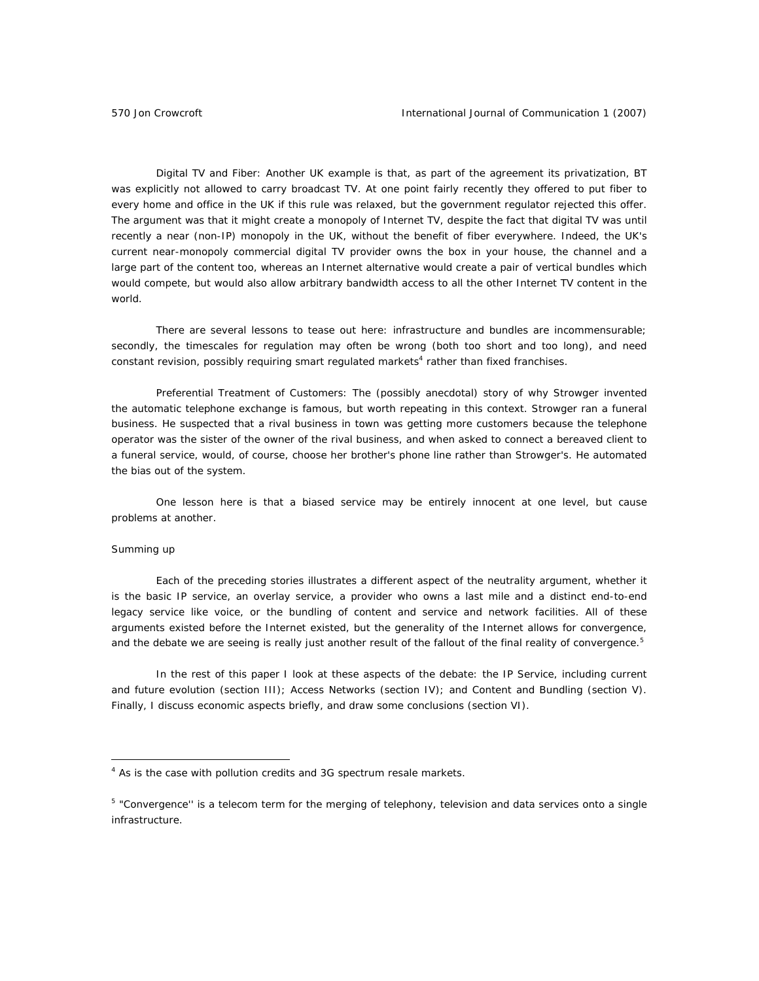*Digital TV and Fiber*: Another UK example is that, as part of the agreement its privatization, BT was explicitly *not* allowed to carry broadcast TV. At one point fairly recently they offered to put fiber to every home and office in the UK if this rule was relaxed, but the government regulator rejected this offer. The argument was that it might create a monopoly of Internet TV, despite the fact that digital TV was until recently a near (non-IP) monopoly in the UK, without the benefit of fiber everywhere. Indeed, the UK's current near-monopoly commercial digital TV provider owns the box in your house, the channel and a large part of the content too, whereas an Internet alternative would create a *pair* of vertical bundles which would compete, but would also allow arbitrary bandwidth access to all the other Internet TV content in the world.

There are several lessons to tease out here: infrastructure and bundles are incommensurable; secondly, the timescales for regulation may often be wrong (both too short and too long), and need constant revision, possibly requiring smart regulated markets<sup>4</sup> rather than fixed franchises.

*Preferential Treatment of Customers*: The (possibly anecdotal) story of why Strowger invented the automatic telephone exchange is famous, but worth repeating in this context. Strowger ran a funeral business. He suspected that a rival business in town was getting more customers because the telephone operator was the sister of the owner of the rival business, and when asked to connect a bereaved client to a funeral service, would, of course, choose her brother's phone line rather than Strowger's. He automated the bias out of the system.

One lesson here is that a biased service may be entirely innocent at one level, but cause problems at another.

### *Summing up*

 $\overline{a}$ 

Each of the preceding stories illustrates a different aspect of the neutrality argument, whether it is the basic IP service, an overlay service, a provider who owns a last mile and a distinct end-to-end legacy service like voice, or the bundling of content and service and network facilities. All of these arguments existed *before* the Internet existed, but the generality of the Internet allows for *convergence*, and the debate we are seeing is really just another result of the fallout of the final reality of convergence.<sup>5</sup>

In the rest of this paper I look at these aspects of the debate: the IP Service, including current and future evolution (section III); Access Networks (section IV); and Content and Bundling (section V). Finally, I discuss economic aspects briefly, and draw some conclusions (section VI).

<sup>&</sup>lt;sup>4</sup> As is the case with pollution credits and 3G spectrum resale markets.

<sup>&</sup>lt;sup>5</sup> "Convergence'' is a telecom term for the merging of telephony, television and data services onto a single infrastructure.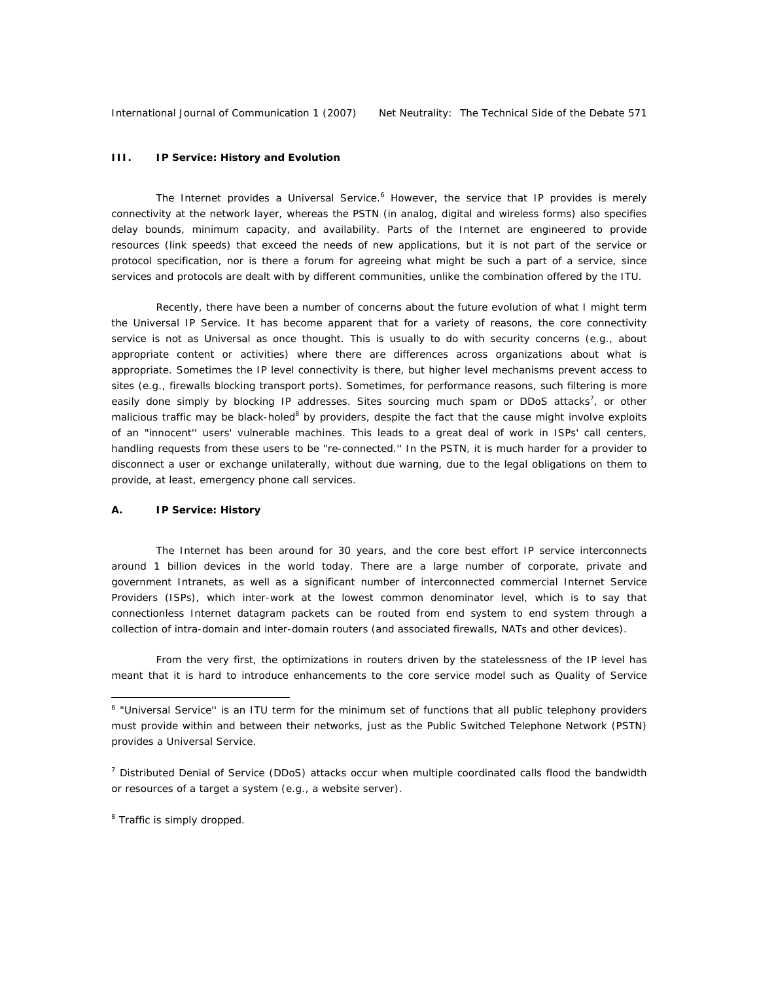### **III. IP Service: History and Evolution**

The Internet provides a Universal Service.<sup>6</sup> However, the service that IP provides is merely connectivity at the network layer, whereas the PSTN (in analog, digital and wireless forms) also specifies delay bounds, minimum capacity, and availability. Parts of the Internet are engineered to provide resources (link speeds) that exceed the needs of new applications, but it is not part of the service or protocol specification, nor is there a forum for agreeing what might be such a part of a service, since *services and protocols are dealt with by different communities*, unlike the combination offered by the ITU.

Recently, there have been a number of concerns about the future evolution of what I might term the Universal IP Service. It has become apparent that for a variety of reasons, the core *connectivity* service is not as Universal as once thought. This is usually to do with security concerns (e.g., about appropriate content or activities) where there are differences across organizations about what is appropriate. Sometimes the IP level connectivity is there, but higher level mechanisms prevent access to sites (e.g., firewalls blocking transport ports). Sometimes, for performance reasons, such filtering is more easily done simply by blocking IP addresses. Sites sourcing much spam or DDoS attacks<sup>7</sup>, or other malicious traffic may be black-holed<sup>8</sup> by providers, despite the fact that the cause might involve exploits of an "innocent'' users' vulnerable machines. This leads to a great deal of work in ISPs' call centers, handling requests from these users to be "re-connected.'' In the PSTN, it is much harder for a provider to disconnect a user or exchange unilaterally, without due warning, due to the legal obligations on them to provide, at least, emergency phone call services.

### *A. IP Service: History*

The Internet has been around for 30 years, and the core best effort IP service interconnects around 1 billion devices in the world today. There are a large number of corporate, private and government Intranets, as well as a significant number of interconnected commercial Internet Service Providers (ISPs), which inter-work at the lowest common denominator level, which is to say that connectionless Internet datagram packets can be routed from end system to end system through a collection of intra-domain and inter-domain routers (and associated firewalls, NATs and other devices).

From the very first, the optimizations in routers driven by the statelessness of the IP level has meant that it is hard to introduce enhancements to the core service model such as Quality of Service

 $\overline{a}$ 

<sup>&</sup>lt;sup>6</sup> "Universal Service" is an ITU term for the minimum set of functions that all public telephony providers must provide within and between their networks, just as the Public Switched Telephone Network (PSTN) provides a Universal Service.

<sup>&</sup>lt;sup>7</sup> Distributed Denial of Service (DDoS) attacks occur when multiple coordinated calls flood the bandwidth or resources of a target a system (e.g., a website server).

<sup>&</sup>lt;sup>8</sup> Traffic is simply dropped.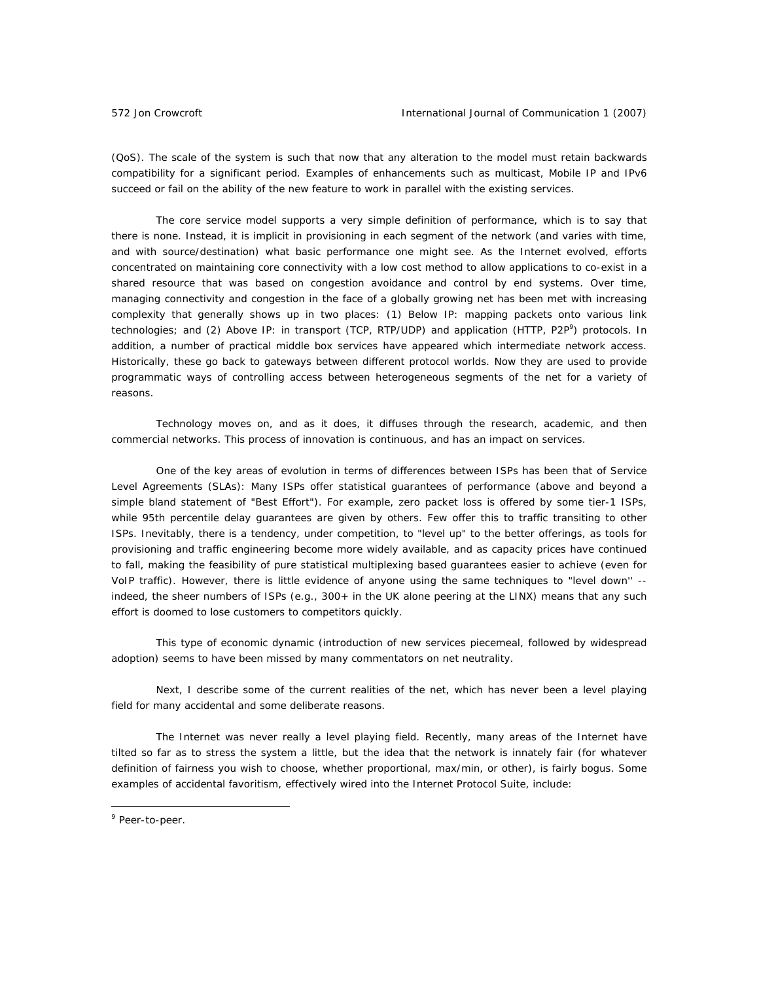(QoS). The scale of the system is such that now that any alteration to the model must retain backwards compatibility for a significant period. Examples of enhancements such as multicast, Mobile IP and IPv6 succeed or fail on the ability of the new feature to work in parallel with the existing services.

The core service model supports a very simple definition of performance, which is to say that there is none. Instead, it is implicit in provisioning in each segment of the network (and varies with time, and with source/destination) what basic performance one might see. As the Internet evolved, efforts concentrated on maintaining core connectivity with a low cost method to allow applications to co-exist in a shared resource that was based on congestion avoidance and control by end systems. Over time, managing connectivity and congestion in the face of a globally growing net has been met with increasing complexity that generally shows up in two places: (1) Below IP: mapping packets onto various link technologies; and (2) Above IP: in transport (TCP, RTP/UDP) and application (HTTP, P2P<sup>9</sup>) protocols. In addition, a number of practical middle box services have appeared which intermediate network access. Historically, these go back to gateways between different protocol worlds. Now they are used to provide programmatic ways of controlling access between heterogeneous segments of the net for a variety of reasons.

Technology moves on, and as it does, it diffuses through the research, academic, and then commercial networks. This process of innovation is continuous, and has an impact on services.

One of the key areas of evolution in terms of differences between ISPs has been that of Service Level Agreements (SLAs): Many ISPs offer statistical guarantees of performance (above and beyond a simple bland statement of "Best Effort"). For example, zero packet loss is offered by some tier-1 ISPs, while 95th percentile delay guarantees are given by others. Few offer this to traffic transiting to other ISPs. Inevitably, there is a tendency, under competition, to "level up" to the better offerings, as tools for provisioning and traffic engineering become more widely available, and as capacity prices have continued to fall, making the feasibility of pure statistical multiplexing based guarantees easier to achieve (even for VoIP traffic). However, there is little evidence of anyone using the same techniques to "level down'' - indeed, the sheer numbers of ISPs (e.g., 300+ in the UK alone peering at the LINX) means that any such effort is doomed to lose customers to competitors quickly.

This type of economic dynamic (introduction of new services piecemeal, followed by widespread adoption) seems to have been missed by many commentators on net neutrality.

Next, I describe some of the current realities of the net, which has never been a level playing field for many accidental and some deliberate reasons.

The Internet was never really a level playing field. Recently, many areas of the Internet have tilted so far as to stress the system a little, but the idea that the network is innately fair (for whatever definition of fairness you wish to choose, whether proportional, max/min, or other), is fairly bogus. Some examples of accidental favoritism, effectively wired into the Internet Protocol Suite, include:

 $\overline{a}$ 

<sup>&</sup>lt;sup>9</sup> Peer-to-peer.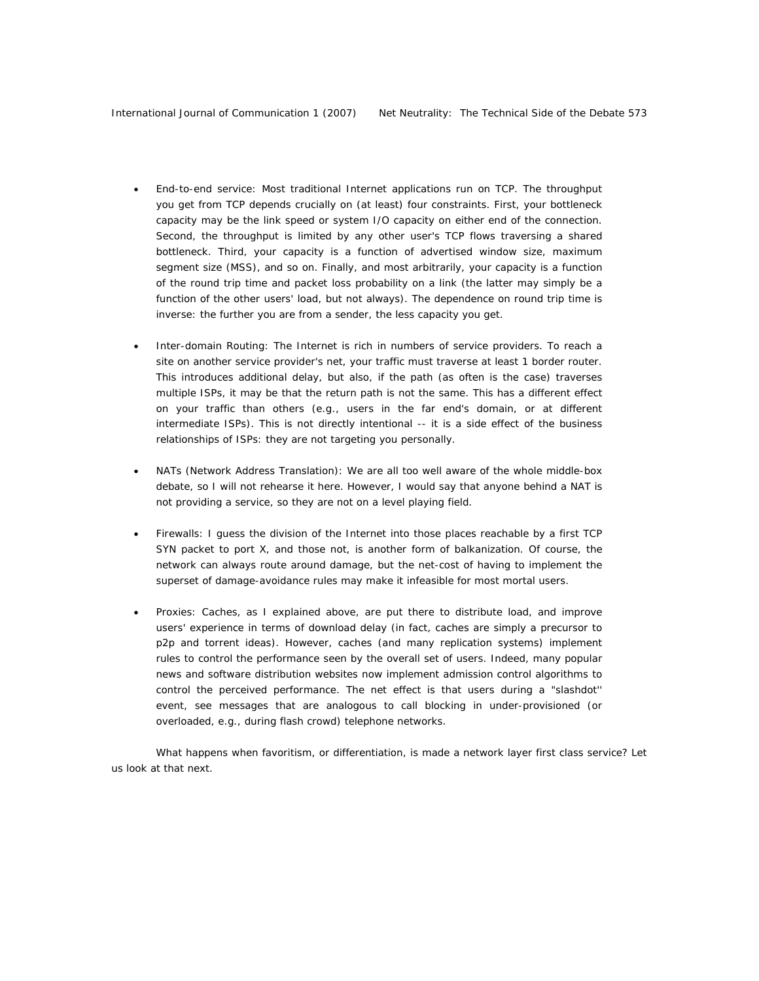- *End-to-end service*: Most traditional Internet applications run on TCP. The throughput you get from TCP depends crucially on (at least) four constraints. First, your bottleneck capacity may be the link speed or system I/O capacity on either end of the connection. Second, the throughput is limited by any other user's TCP flows traversing a shared bottleneck. Third, your capacity is a function of advertised window size, maximum segment size (MSS), and so on. Finally, and most arbitrarily, your capacity is a function of the round trip time and packet loss probability on a link (the latter may simply be a function of the other users' load, but not always). The dependence on round trip time is inverse: the further you are from a sender, the less capacity you get.
- *Inter-domain Routing*: The Internet is rich in numbers of service providers. To reach a site on another service provider's net, your traffic must traverse at least 1 border router. This introduces additional delay, but also, if the path (as often is the case) traverses multiple ISPs, it may be that the return path is not the same. This has a different effect on your traffic than others (e.g., users in the far end's domain, or at different intermediate ISPs). This is not directly intentional -- it is a side effect of the business relationships of ISPs: they are not targeting *you* personally.
- *NATs* (Network Address Translation): We are all too well aware of the whole middle-box debate, so I will not rehearse it here. However, I would say that anyone behind a NAT is not providing a service, so they are not on a level playing field.
- *Firewalls*: I guess the division of the Internet into those places reachable by a first TCP SYN packet to port X, and those not, is another form of balkanization. Of course, the network can always route around damage, but the net-cost of having to implement the superset of damage-avoidance rules may make it infeasible for most mortal users.
- *Proxies*: Caches, as I explained above, are put there to distribute load, and improve users' experience in terms of download delay (in fact, caches are simply a precursor to p2p and torrent ideas). However, caches (and many replication systems) implement rules to control the performance seen by the overall set of users. Indeed, many popular news and software distribution websites now implement *admission control* algorithms to control the perceived performance. The net effect is that users during a "slashdot'' event, see messages that are analogous to call blocking in under-provisioned (or overloaded, e.g., during flash crowd) telephone networks.

What happens when favoritism, or differentiation, is made a network layer first class service? Let us look at that next.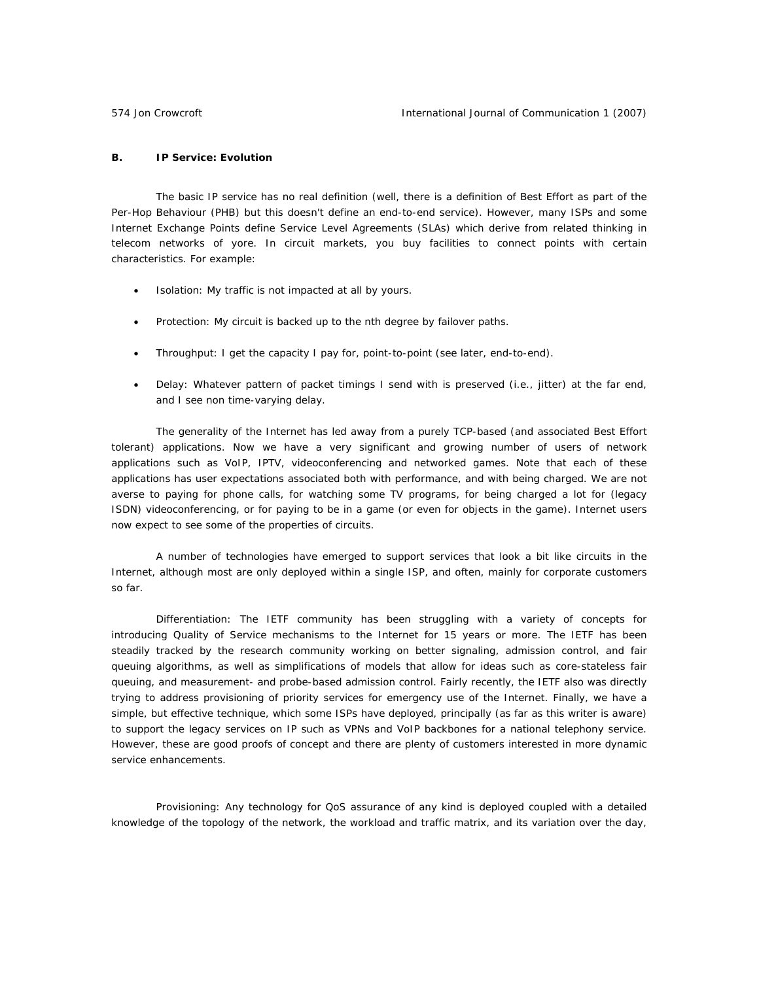### *B. IP Service: Evolution*

The basic IP service has no real definition (well, there is a definition of Best Effort as part of the Per-Hop Behaviour (PHB) but this doesn't define an end-to-end service). However, many ISPs and some Internet Exchange Points define Service Level Agreements (SLAs) which derive from related thinking in telecom networks of yore. In circuit markets, you buy facilities to connect points with certain characteristics. For example:

- *Isolation*: My traffic is not impacted at all by yours.
- *Protection*: My circuit is backed up to the nth degree by failover paths.
- *Throughput*: I get the capacity I pay for, point-to-point (see later, end-to-end).
- *Delay*: Whatever pattern of packet timings I send with is preserved (i.e., jitter) at the far end, and I see non time-varying delay.

The generality of the Internet has led away from a purely TCP-based (and associated Best Effort tolerant) applications. Now we have a very significant and growing number of users of network applications such as VoIP, IPTV, videoconferencing and networked games. Note that each of these applications has user expectations associated both with performance, *and* with being charged. We are not averse to paying for phone calls, for watching some TV programs, for being charged a lot for (legacy ISDN) videoconferencing, or for paying to be in a game (or even for objects in the game). Internet users now expect to see some of the properties of circuits.

A number of technologies have emerged to support services that look a bit like circuits in the Internet, although most are only deployed within a single ISP, and often, mainly for corporate customers so far.

*Differentiation*: The IETF community has been struggling with a variety of concepts for introducing Quality of Service mechanisms to the Internet for 15 years or more. The IETF has been steadily tracked by the research community working on better signaling, admission control, and fair queuing algorithms, as well as simplifications of models that allow for ideas such as core-stateless fair queuing, and measurement- and probe-based admission control. Fairly recently, the IETF also was directly trying to address provisioning of priority services for emergency use of the Internet. Finally, we have a simple, but effective technique, which some ISPs have deployed, principally (as far as this writer is aware) to support the legacy services on IP such as VPNs and VoIP backbones for a national telephony service. However, these are good proofs of concept and there are plenty of customers interested in more dynamic service enhancements.

*Provisioning*: Any technology for QoS assurance of any kind is deployed coupled with a detailed knowledge of the topology of the network, the workload and traffic matrix, and its variation over the day,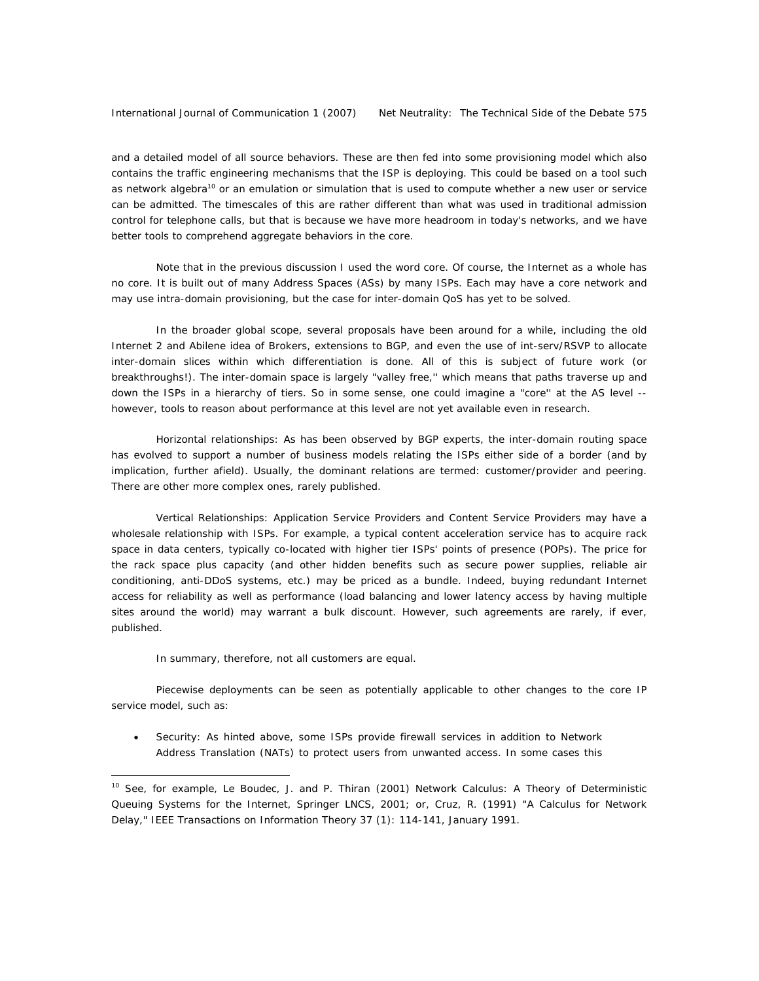and a detailed model of all source behaviors. These are then fed into some provisioning model which also contains the traffic engineering mechanisms that the ISP is deploying. This could be based on a tool such as network algebra<sup>10</sup> or an emulation or simulation that is used to compute whether a new user or service can be admitted. The timescales of this are rather different than what was used in traditional admission control for telephone calls, but that is because we have more headroom in today's networks, and we have better tools to comprehend aggregate behaviors in the core.

Note that in the previous discussion I used the word *core*. Of course, the Internet as a whole has no core. It is built out of many Address Spaces (ASs) by many ISPs. Each may have a core network and may use intra-domain provisioning, but the case for inter-domain QoS has yet to be solved.

In the broader global scope, several proposals have been around for a while, including the old Internet 2 and Abilene idea of Brokers, extensions to BGP, and even the use of int-serv/RSVP to allocate inter-domain slices within which differentiation is done. All of this is subject of future work (or breakthroughs!). The inter-domain space is largely "valley free,'' which means that paths traverse up and down the ISPs in a hierarchy of tiers. So in some sense, one could imagine a "core'' at the AS level - however, tools to reason about performance at this level are not yet available even in research.

*Horizontal relationships*: As has been observed by BGP experts, the inter-domain routing space has evolved to support a number of business models relating the ISPs either side of a border (and by implication, further afield). Usually, the dominant relations are termed: customer/provider and peering. There are other more complex ones, rarely published.

*Vertical Relationships*: Application Service Providers and Content Service Providers may have a wholesale relationship with ISPs. For example, a typical content acceleration service has to acquire rack space in data centers, typically co-located with higher tier ISPs' points of presence (POPs). The price for the rack space plus capacity (and other hidden benefits such as secure power supplies, reliable air conditioning, anti-DDoS systems, etc.) may be priced as a bundle. Indeed, buying redundant Internet access for reliability as well as performance (load balancing and lower latency access by having multiple sites around the world) may warrant a bulk discount. However, such agreements are rarely, if ever, published.

In summary, therefore, not all customers are equal.

 $\overline{a}$ 

Piecewise deployments can be seen as potentially applicable to other changes to the core IP service model, such as:

• *Security*: As hinted above, some ISPs provide firewall services in addition to Network Address Translation (NATs) to protect users from unwanted access. In some cases this

<sup>10</sup> See, for example, Le Boudec, J. and P. Thiran (2001) *Network Calculus: A Theory of Deterministic Queuing Systems for the Internet*, Springer LNCS, 2001; or, Cruz, R. (1991) "A Calculus for Network Delay," IEEE Transactions on Information Theory 37 (1): 114-141, January 1991.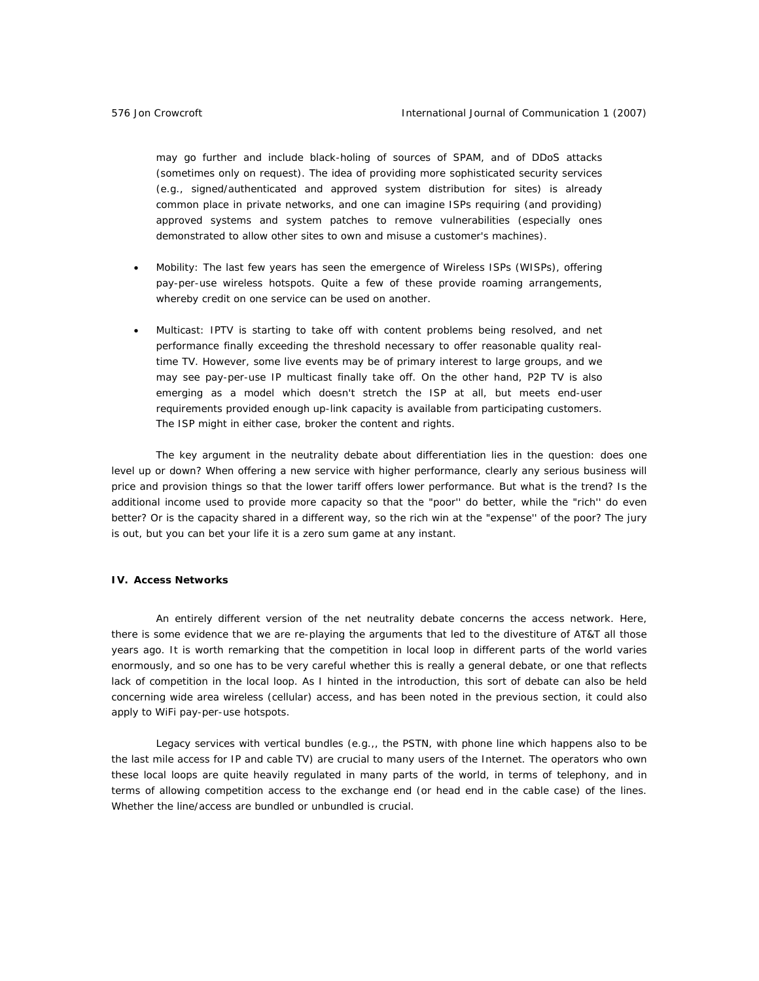may go further and include black-holing of sources of SPAM, and of DDoS attacks (sometimes only on request). The idea of providing more sophisticated security services (e.g., signed/authenticated and approved system distribution for sites) is already common place in private networks, and one can imagine ISPs requiring (and providing) approved systems and system patches to remove vulnerabilities (especially ones demonstrated to allow other sites to own and misuse a customer's machines).

- *Mobility*: The last few years has seen the emergence of Wireless ISPs (WISPs), offering pay-per-use wireless hotspots. Quite a few of these provide *roaming* arrangements, whereby credit on one service can be used on another.
- *Multicast*: IPTV is starting to take off with content problems being resolved, and net performance finally exceeding the threshold necessary to offer reasonable quality realtime TV. However, some live events may be of primary interest to large groups, and we may see pay-per-use IP multicast finally take off. On the other hand, P2P TV is also emerging as a model which doesn't stretch the ISP at all, but meets end-user requirements provided enough up-link capacity is available from participating customers. The ISP might in either case, broker the content and rights.

The key argument in the neutrality debate about differentiation lies in the question: does one level up or down? When offering a new service with higher performance, clearly any serious business will price and provision things so that the lower tariff offers lower performance. But what is the trend? Is the additional income used to provide more capacity so that the "poor'' do better, while the "rich'' do even better? Or is the capacity shared in a different way, so the rich win at the "expense'' of the poor? The jury is out, but you can bet your life it is a zero sum game at any instant.

## **IV. Access Networks**

An entirely different version of the net neutrality debate concerns the access network. Here, there is some evidence that we are re-playing the arguments that led to the divestiture of AT&T all those years ago. It is worth remarking that the competition in local loop in different parts of the world varies enormously, and so one has to be very careful whether this is really a general debate, or one that reflects lack of competition in the local loop. As I hinted in the introduction, this sort of debate can also be held concerning wide area wireless (cellular) access, and has been noted in the previous section, it could also apply to WiFi pay-per-use hotspots.

Legacy services with vertical bundles (e.g.,, the PSTN, with phone line which happens also to be the last mile access for IP and cable TV) are crucial to many users of the Internet. The operators who own these local loops are quite heavily regulated in many parts of the world, in terms of telephony, and in terms of allowing competition access to the *exchange* end (or *head end* in the cable case) of the lines. Whether the line/access are bundled or unbundled is crucial.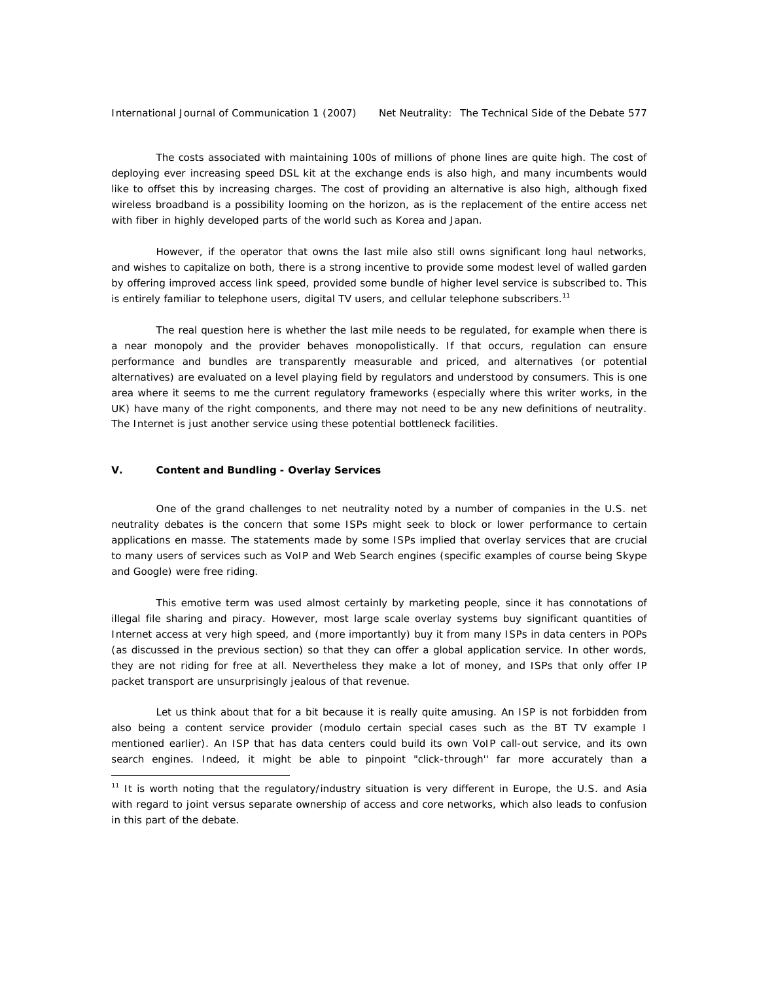International Journal of Communication 1 (2007) Net Neutrality: The Technical Side of the Debate 577

The costs associated with maintaining 100s of millions of phone lines are quite high. The cost of deploying ever increasing speed DSL kit at the exchange ends is also high, and many incumbents would like to offset this by increasing charges. The cost of providing an alternative is also high, although fixed wireless broadband is a possibility looming on the horizon, as is the replacement of the entire access net with fiber in highly developed parts of the world such as Korea and Japan.

However, if the operator that owns the last mile also still owns significant long haul networks, and wishes to capitalize on both, there is a strong incentive to provide some modest level of *walled garden* by offering improved access link speed, provided some bundle of higher level service is subscribed to. This is entirely familiar to telephone users, digital TV users, and cellular telephone subscribers.<sup>11</sup>

The real question here is whether the last mile needs to be regulated, for example when there is a near monopoly *and* the provider behaves monopolistically. If that occurs, regulation can ensure performance and bundles are transparently measurable and priced, and alternatives (or potential alternatives) are evaluated on a level playing field by regulators and understood by consumers. This is one area where it seems to me the current regulatory frameworks (especially where this writer works, in the UK) have many of the right components, and there may not need to be any new definitions of neutrality. The Internet is just another service using these potential bottleneck facilities.

## **V. Content and Bundling - Overlay Services**

 $\overline{a}$ 

One of the grand challenges to net neutrality noted by a number of companies in the U.S. net neutrality debates is the concern that some ISPs might seek to block or lower performance to certain applications *en masse*. The statements made by some ISPs implied that overlay services that are crucial to many users of services such as VoIP and Web Search engines (specific examples of course being Skype and Google) were *free riding*.

This emotive term was used almost certainly by marketing people, since it has connotations of illegal file sharing and piracy. However, most large scale overlay systems buy significant quantities of Internet access at very high speed, and (more importantly) buy it from many ISPs in data centers in POPs (as discussed in the previous section) so that they can offer a global application service. In other words, they are not riding for free at all. Nevertheless they make a lot of money, and ISPs that only offer IP packet transport are unsurprisingly jealous of that revenue.

Let us think about that for a bit because it is really quite amusing. An ISP is not forbidden from also being a content service provider (modulo certain special cases such as the BT TV example I mentioned earlier). An ISP that has data centers could build its own VoIP call-out service, and its own search engines. Indeed, it might be able to pinpoint "click-through'' far more accurately than a

<sup>11</sup> It is worth noting that the regulatory/industry situation is *very* different in Europe, the U.S. and Asia with regard to joint versus separate ownership of access and core networks, which also leads to confusion in this part of the debate.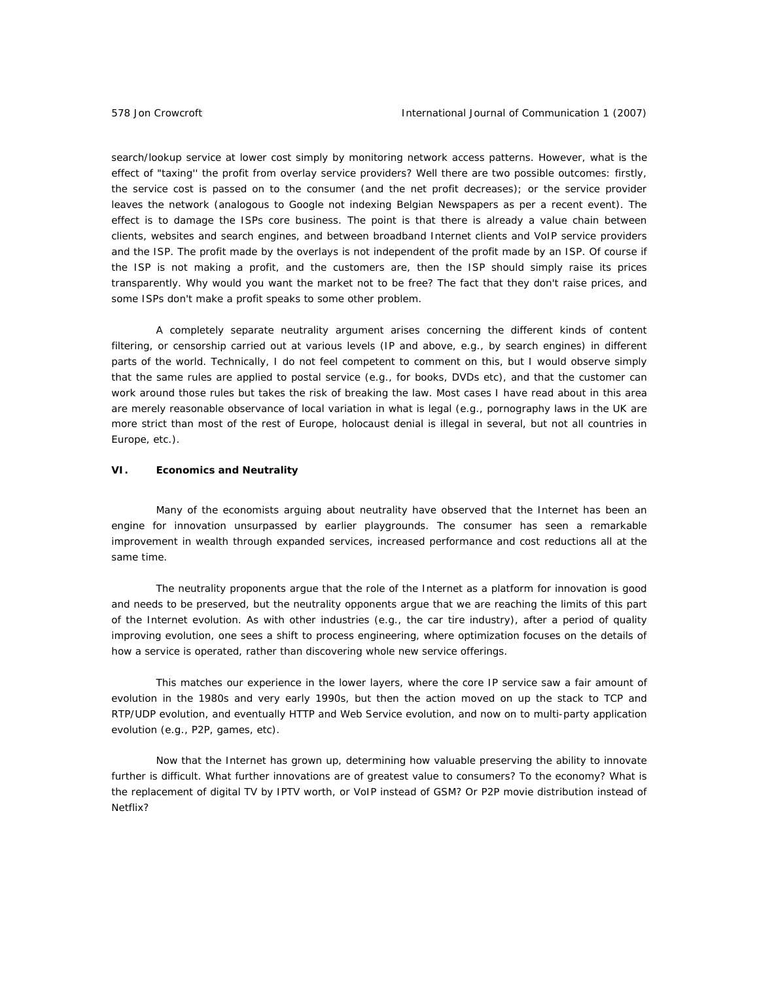search/lookup service at lower cost simply by monitoring network access patterns. However, what is the effect of "taxing'' the profit from overlay service providers? Well there are two possible outcomes: firstly, the service cost is passed on to the consumer (and the net profit decreases); or the service provider leaves the network (analogous to Google not indexing Belgian Newspapers as per a recent event). The effect is to *damage* the ISPs core business. The point is that there *is already a value chain* between clients, websites and search engines, and between broadband Internet clients and VoIP service providers and the ISP. The profit made by the overlays is *not independent* of the profit made by an ISP. Of course if the ISP is not making a profit, and the customers are, then the ISP should simply raise its prices transparently. Why would you want the market not to be free? The fact that they don't raise prices, and some ISPs don't make a profit speaks to some other problem.

A completely separate neutrality argument arises concerning the different kinds of content filtering, or *censorship* carried out at various levels (IP and above, e.g., by search engines) in different parts of the world. Technically, I do not feel competent to comment on this, but I would observe simply that the same rules are applied to postal service (e.g., for books, DVDs etc), and that the customer can work around those rules but takes the risk of breaking the law. Most cases I have read about in this area are merely reasonable observance of local variation in what is legal (e.g., pornography laws in the UK are more strict than most of the rest of Europe, holocaust denial is illegal in several, but not all countries in Europe, etc.).

## **VI. Economics and Neutrality**

Many of the economists arguing about neutrality have observed that the Internet has been an engine for innovation unsurpassed by earlier playgrounds. The consumer has seen a remarkable improvement in wealth through expanded services, increased performance *and* cost reductions all at the same time.

The neutrality proponents argue that the role of the Internet as a platform for innovation is good and needs to be preserved, but the neutrality opponents argue that we are reaching the limits of this part of the Internet evolution. As with other industries (e.g., the car tire industry), after a period of quality improving evolution, one sees a shift to process engineering, where optimization focuses on the details of how a service is operated, rather than discovering whole new service offerings.

This matches our experience in the lower layers, where the core IP service saw a fair amount of evolution in the 1980s and very early 1990s, but then the action moved on up the stack to TCP and RTP/UDP evolution, and eventually HTTP and Web Service evolution, and now on to multi-party application evolution (e.g., P2P, games, etc).

Now that the Internet has grown up, determining how valuable preserving the ability to innovate further is difficult. What further innovations are of greatest value to consumers? To the economy? What is the replacement of digital TV by IPTV worth, or VoIP instead of GSM? Or P2P movie distribution instead of Netflix?